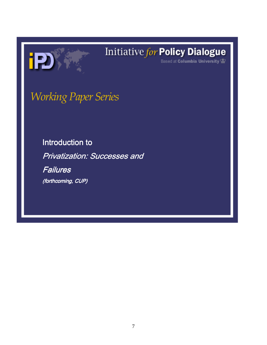## Initiative for Policy Dialogue

Based at Columbia University

Working Paper Series

**iP** 

Introduction to

Privatization: Successes and

**Failures** (forthcoming, CUP)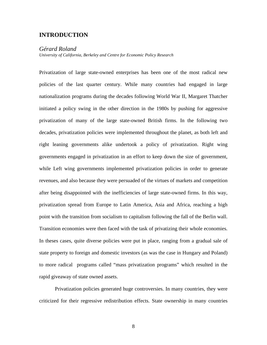## **INTRODUCTION**

## *Gérard Roland*

*University of California, Berkeley and Centre for Economic Policy Research* 

Privatization of large state-owned enterprises has been one of the most radical new policies of the last quarter century. While many countries had engaged in large nationalization programs during the decades following World War II, Margaret Thatcher initiated a policy swing in the other direction in the 1980s by pushing for aggressive privatization of many of the large state-owned British firms. In the following two decades, privatization policies were implemented throughout the planet, as both left and right leaning governments alike undertook a policy of privatization. Right wing governments engaged in privatization in an effort to keep down the size of government, while Left wing governments implemented privatization policies in order to generate revenues, and also because they were persuaded of the virtues of markets and competition after being disappointed with the inefficiencies of large state-owned firms. In this way, privatization spread from Europe to Latin America, Asia and Africa, reaching a high point with the transition from socialism to capitalism following the fall of the Berlin wall. Transition economies were then faced with the task of privatizing their whole economies. In theses cases, quite diverse policies were put in place, ranging from a gradual sale of state property to foreign and domestic investors (as was the case in Hungary and Poland) to more radical programs called "mass privatization programs" which resulted in the rapid giveaway of state owned assets.

 Privatization policies generated huge controversies. In many countries, they were criticized for their regressive redistribution effects. State ownership in many countries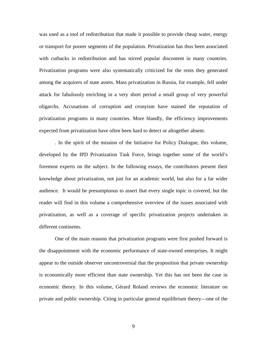was used as a tool of redistribution that made it possible to provide cheap water, energy or transport for poorer segments of the population. Privatization has thus been associated with cutbacks in redistribution and has stirred popular discontent in many countries. Privatization programs were also systematically criticized for the rents they generated among the acquirers of state assets. Mass privatization in Russia, for example, fell under attack for fabulously enriching in a very short period a small group of very powerful oligarchs. Accusations of corruption and cronyism have stained the reputation of privatization programs in many countries. More blandly, the efficiency improvements expected from privatization have often been hard to detect or altogether absent.

 . In the spirit of the mission of the Initiative for Policy Dialogue, this volume, developed by the IPD Privatization Task Force, brings together some of the world's foremost experts on the subject. In the following essays, the contributors present their knowledge about privatization, not just for an academic world, but also for a far wider audience. It would be presumptuous to assert that every single topic is covered, but the reader will find in this volume a comprehensive overview of the issues associated with privatization, as well as a coverage of specific privatization projects undertaken in different continents.

 One of the main reasons that privatization programs were first pushed forward is the disappointment with the economic performance of state-owned enterprises. It might appear to the outside observer uncontroversial that the proposition that private ownership is economically more efficient than state ownership. Yet this has not been the case in economic theory. In this volume, Gérard Roland reviews the economic literature on private and public ownership. Citing in particular general equilibrium theory—one of the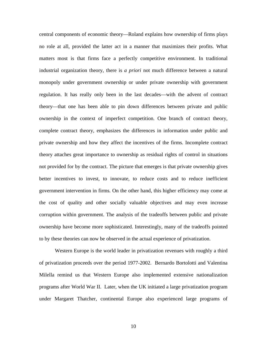central components of economic theory—Roland explains how ownership of firms plays no role at all, provided the latter act in a manner that maximizes their profits. What matters most is that firms face a perfectly competitive environment. In traditional industrial organization theory, there is *a priori* not much difference between a natural monopoly under government ownership or under private ownership with government regulation. It has really only been in the last decades—with the advent of contract theory—that one has been able to pin down differences between private and public ownership in the context of imperfect competition. One branch of contract theory, complete contract theory, emphasizes the differences in information under public and private ownership and how they affect the incentives of the firms. Incomplete contract theory attaches great importance to ownership as residual rights of control in situations not provided for by the contract. The picture that emerges is that private ownership gives better incentives to invest, to innovate, to reduce costs and to reduce inefficient government intervention in firms. On the other hand, this higher efficiency may come at the cost of quality and other socially valuable objectives and may even increase corruption within government. The analysis of the tradeoffs between public and private ownership have become more sophisticated. Interestingly, many of the tradeoffs pointed to by these theories can now be observed in the actual experience of privatization.

 Western Europe is the world leader in privatization revenues with roughly a third of privatization proceeds over the period 1977-2002. Bernardo Bortolotti and Valentina Milella remind us that Western Europe also implemented extensive nationalization programs after World War II. Later, when the UK initiated a large privatization program under Margaret Thatcher, continental Europe also experienced large programs of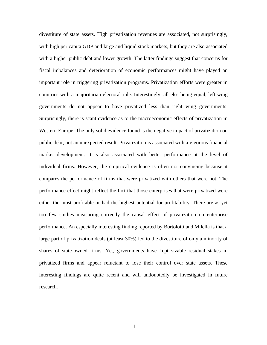divestiture of state assets. High privatization revenues are associated, not surprisingly, with high per capita GDP and large and liquid stock markets, but they are also associated with a higher public debt and lower growth. The latter findings suggest that concerns for fiscal imbalances and deterioration of economic performances might have played an important role in triggering privatization programs. Privatization efforts were greater in countries with a majoritarian electoral rule. Interestingly, all else being equal, left wing governments do not appear to have privatized less than right wing governments. Surprisingly, there is scant evidence as to the macroeconomic effects of privatization in Western Europe. The only solid evidence found is the negative impact of privatization on public debt, not an unexpected result. Privatization is associated with a vigorous financial market development. It is also associated with better performance at the level of individual firms. However, the empirical evidence is often not convincing because it compares the performance of firms that were privatized with others that were not. The performance effect might reflect the fact that those enterprises that were privatized were either the most profitable or had the highest potential for profitability. There are as yet too few studies measuring correctly the causal effect of privatization on enterprise performance. An especially interesting finding reported by Bortolotti and Milella is that a large part of privatization deals (at least 30%) led to the divestiture of only a minority of shares of state-owned firms. Yet, governments have kept sizable residual stakes in privatized firms and appear reluctant to lose their control over state assets. These interesting findings are quite recent and will undoubtedly be investigated in future research.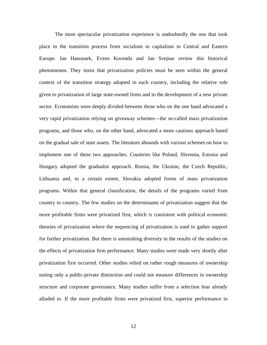The most spectacular privatization experience is undoubtedly the one that took place in the transition process from socialism to capitalism in Central and Eastern Europe. Jan Hanousek, Evzen Kocenda and Jan Svejnar review this historical phenomenon. They insist that privatization policies must be seen within the general context of the transition strategy adopted in each country, including the relative role given to privatization of large state-owned firms and to the development of a new private sector. Economists were deeply divided between those who on the one hand advocated a very rapid privatization relying on giveaway schemes—the so-called mass privatization programs, and those who, on the other hand, advocated a more cautious approach based on the gradual sale of state assets. The literature abounds with various schemes on how to implement one of these two approaches. Countries like Poland, Slovenia, Estonia and Hungary adopted the gradualist approach. Russia, the Ukraine, the Czech Republic, Lithuania and, to a certain extent, Slovakia adopted forms of mass privatization programs. Within that general classification, the details of the programs varied from country to country. The few studies on the determinants of privatization suggest that the more profitable firms were privatized first, which is consistent with political economic theories of privatization where the sequencing of privatization is used to gather support for further privatization. But there is astonishing diversity in the results of the studies on the effects of privatization firm performance. Many studies were made very shortly after privatization first occurred. Other studies relied on rather rough measures of ownership noting only a public-private distinction and could not measure differences in ownership structure and corporate governance. Many studies suffer from a selection bias already alluded to. If the more profitable firms were privatized first, superior performance in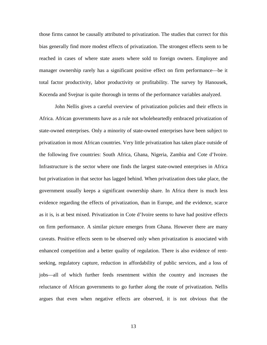those firms cannot be causally attributed to privatization. The studies that correct for this bias generally find more modest effects of privatization. The strongest effects seem to be reached in cases of where state assets where sold to foreign owners. Employee and manager ownership rarely has a significant positive effect on firm performance—be it total factor productivity, labor productivity or profitability. The survey by Hanousek, Kocenda and Svejnar is quite thorough in terms of the performance variables analyzed.

 John Nellis gives a careful overview of privatization policies and their effects in Africa. African governments have as a rule not wholeheartedly embraced privatization of state-owned enterprises. Only a minority of state-owned enterprises have been subject to privatization in most African countries. Very little privatization has taken place outside of the following five countries: South Africa, Ghana, Nigeria, Zambia and Cote d'Ivoire. Infrastructure is the sector where one finds the largest state-owned enterprises in Africa but privatization in that sector has lagged behind. When privatization does take place, the government usually keeps a significant ownership share. In Africa there is much less evidence regarding the effects of privatization, than in Europe, and the evidence, scarce as it is, is at best mixed. Privatization in Cote d'Ivoire seems to have had positive effects on firm performance. A similar picture emerges from Ghana. However there are many caveats. Positive effects seem to be observed only when privatization is associated with enhanced competition and a better quality of regulation. There is also evidence of rentseeking, regulatory capture, reduction in affordability of public services, and a loss of jobs—all of which further feeds resentment within the country and increases the reluctance of African governments to go further along the route of privatization. Nellis argues that even when negative effects are observed, it is not obvious that the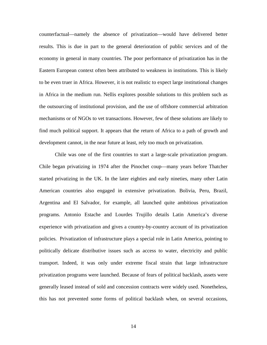counterfactual—namely the absence of privatization—would have delivered better results. This is due in part to the general deterioration of public services and of the economy in general in many countries. The poor performance of privatization has in the Eastern European context often been attributed to weakness in institutions. This is likely to be even truer in Africa. However, it is not realistic to expect large institutional changes in Africa in the medium run. Nellis explores possible solutions to this problem such as the outsourcing of institutional provision, and the use of offshore commercial arbitration mechanisms or of NGOs to vet transactions. However, few of these solutions are likely to find much political support. It appears that the return of Africa to a path of growth and development cannot, in the near future at least, rely too much on privatization.

 Chile was one of the first countries to start a large-scale privatization program. Chile began privatizing in 1974 after the Pinochet coup—many years before Thatcher started privatizing in the UK. In the later eighties and early nineties, many other Latin American countries also engaged in extensive privatization. Bolivia, Peru, Brazil, Argentina and El Salvador, for example, all launched quite ambitious privatization programs. Antonio Estache and Lourdes Trujillo details Latin America's diverse experience with privatization and gives a country-by-country account of its privatization policies. Privatization of infrastructure plays a special role in Latin America, pointing to politically delicate distributive issues such as access to water, electricity and public transport. Indeed, it was only under extreme fiscal strain that large infrastructure privatization programs were launched. Because of fears of political backlash, assets were generally leased instead of sold and concession contracts were widely used. Nonetheless, this has not prevented some forms of political backlash when, on several occasions,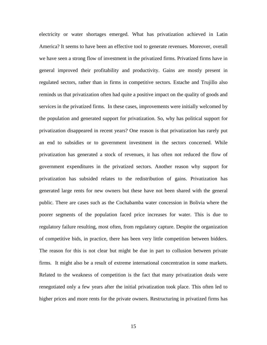electricity or water shortages emerged. What has privatization achieved in Latin America? It seems to have been an effective tool to generate revenues. Moreover, overall we have seen a strong flow of investment in the privatized firms. Privatized firms have in general improved their profitability and productivity. Gains are mostly present in regulated sectors, rather than in firms in competitive sectors. Estache and Trujillo also reminds us that privatization often had quite a positive impact on the quality of goods and services in the privatized firms. In these cases, improvements were initially welcomed by the population and generated support for privatization. So, why has political support for privatization disappeared in recent years? One reason is that privatization has rarely put an end to subsidies or to government investment in the sectors concerned. While privatization has generated a stock of revenues, it has often not reduced the flow of government expenditures in the privatized sectors. Another reason why support for privatization has subsided relates to the redistribution of gains. Privatization has generated large rents for new owners but these have not been shared with the general public. There are cases such as the Cochabamba water concession in Bolivia where the poorer segments of the population faced price increases for water. This is due to regulatory failure resulting, most often, from regulatory capture. Despite the organization of competitive bids, in practice, there has been very little competition between bidders. The reason for this is not clear but might be due in part to collusion between private firms. It might also be a result of extreme international concentration in some markets. Related to the weakness of competition is the fact that many privatization deals were renegotiated only a few years after the initial privatization took place. This often led to higher prices and more rents for the private owners. Restructuring in privatized firms has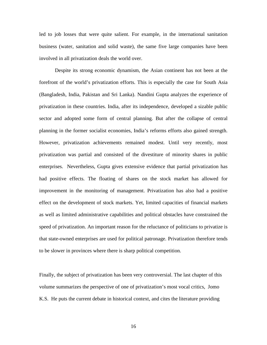led to job losses that were quite salient. For example, in the international sanitation business (water, sanitation and solid waste), the same five large companies have been involved in all privatization deals the world over.

 Despite its strong economic dynamism, the Asian continent has not been at the forefront of the world's privatization efforts. This is especially the case for South Asia (Bangladesh, India, Pakistan and Sri Lanka). Nandini Gupta analyzes the experience of privatization in these countries. India, after its independence, developed a sizable public sector and adopted some form of central planning. But after the collapse of central planning in the former socialist economies, India's reforms efforts also gained strength. However, privatization achievements remained modest. Until very recently, most privatization was partial and consisted of the divestiture of minority shares in public enterprises. Nevertheless, Gupta gives extensive evidence that partial privatization has had positive effects. The floating of shares on the stock market has allowed for improvement in the monitoring of management. Privatization has also had a positive effect on the development of stock markets. Yet, limited capacities of financial markets as well as limited administrative capabilities and political obstacles have constrained the speed of privatization. An important reason for the reluctance of politicians to privatize is that state-owned enterprises are used for political patronage. Privatization therefore tends to be slower in provinces where there is sharp political competition.

Finally, the subject of privatization has been very controversial. The last chapter of this volume summarizes the perspective of one of privatization's most vocal critics, Jomo K.S. He puts the current debate in historical context, and cites the literature providing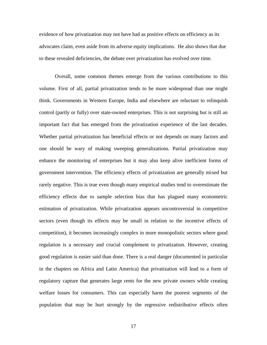evidence of how privatization may not have had as positive effects on efficiency as its advocates claim, even aside from its adverse equity implications. He also shows that due to these revealed deficiencies, the debate over privatization has evolved over time.

 Overall, some common themes emerge from the various contributions to this volume. First of all, partial privatization tends to be more widespread than one might think. Governments in Western Europe, India and elsewhere are reluctant to relinquish control (partly or fully) over state-owned enterprises. This is not surprising but is still an important fact that has emerged from the privatization experience of the last decades. Whether partial privatization has beneficial effects or not depends on many factors and one should be wary of making sweeping generalizations. Partial privatization may enhance the monitoring of enterprises but it may also keep alive inefficient forms of government intervention. The efficiency effects of privatization are generally mixed but rarely negative. This is true even though many empirical studies tend to overestimate the efficiency effects due to sample selection bias that has plagued many econometric estimation of privatization. While privatization appears uncontroversial in competitive sectors (even though its effects may be small in relation to the incentive effects of competition), it becomes increasingly complex in more monopolistic sectors where good regulation is a necessary and crucial complement to privatization. However, creating good regulation is easier said than done. There is a real danger (documented in particular in the chapters on Africa and Latin America) that privatization will lead to a form of regulatory capture that generates large rents for the new private owners while creating welfare losses for consumers. This can especially harm the poorest segments of the population that may be hurt strongly by the regressive redistributive effects often